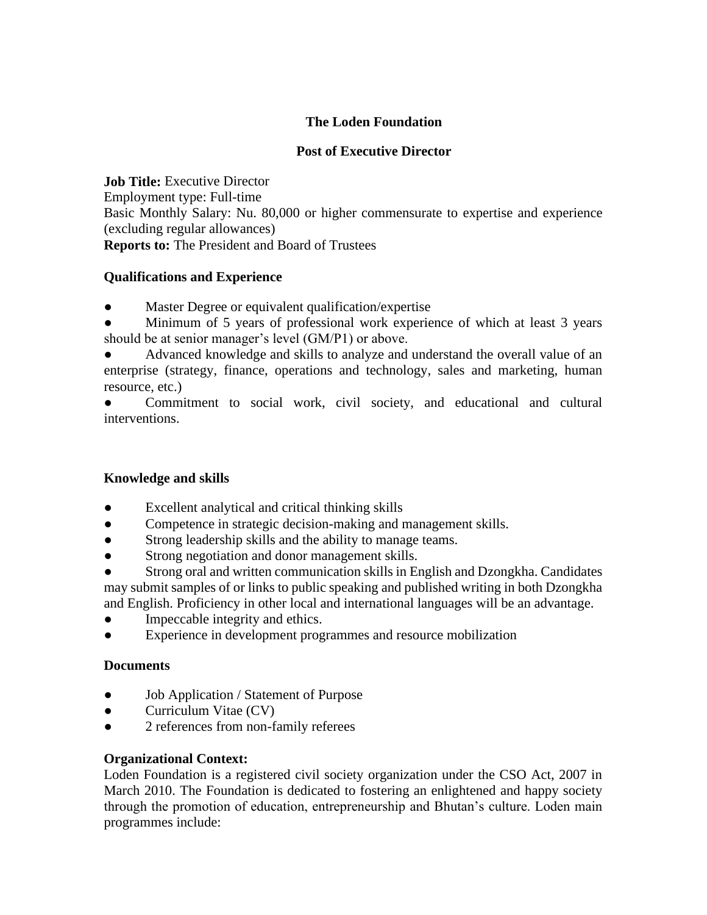## **The Loden Foundation**

## **Post of Executive Director**

**Job Title:** Executive Director Employment type: Full-time Basic Monthly Salary: Nu. 80,000 or higher commensurate to expertise and experience (excluding regular allowances) **Reports to:** The President and Board of Trustees

#### **Qualifications and Experience**

- Master Degree or equivalent qualification/expertise
- Minimum of 5 years of professional work experience of which at least 3 years should be at senior manager's level (GM/P1) or above.
- Advanced knowledge and skills to analyze and understand the overall value of an enterprise (strategy, finance, operations and technology, sales and marketing, human resource, etc.)

● Commitment to social work, civil society, and educational and cultural interventions.

## **Knowledge and skills**

- Excellent analytical and critical thinking skills
- Competence in strategic decision-making and management skills.
- Strong leadership skills and the ability to manage teams.
- Strong negotiation and donor management skills.
- Strong oral and written communication skills in English and Dzongkha. Candidates may submit samples of or links to public speaking and published writing in both Dzongkha and English. Proficiency in other local and international languages will be an advantage.
- Impeccable integrity and ethics.
- Experience in development programmes and resource mobilization

#### **Documents**

- Job Application / Statement of Purpose
- Curriculum Vitae (CV)
- 2 references from non-family referees

#### **Organizational Context:**

Loden Foundation is a registered civil society organization under the CSO Act, 2007 in March 2010. The Foundation is dedicated to fostering an enlightened and happy society through the promotion of education, entrepreneurship and Bhutan's culture. Loden main programmes include: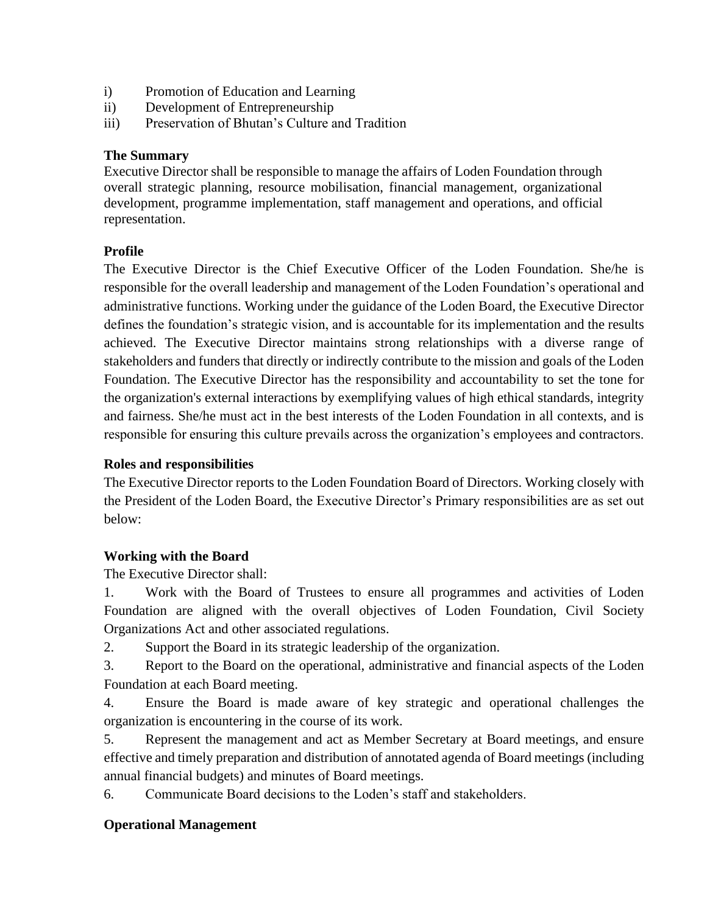- i) Promotion of Education and Learning
- ii) Development of Entrepreneurship
- iii) Preservation of Bhutan's Culture and Tradition

#### **The Summary**

Executive Director shall be responsible to manage the affairs of Loden Foundation through overall strategic planning, resource mobilisation, financial management, organizational development, programme implementation, staff management and operations, and official representation.

## **Profile**

The Executive Director is the Chief Executive Officer of the Loden Foundation. She/he is responsible for the overall leadership and management of the Loden Foundation's operational and administrative functions. Working under the guidance of the Loden Board, the Executive Director defines the foundation's strategic vision, and is accountable for its implementation and the results achieved. The Executive Director maintains strong relationships with a diverse range of stakeholders and funders that directly or indirectly contribute to the mission and goals of the Loden Foundation. The Executive Director has the responsibility and accountability to set the tone for the organization's external interactions by exemplifying values of high ethical standards, integrity and fairness. She/he must act in the best interests of the Loden Foundation in all contexts, and is responsible for ensuring this culture prevails across the organization's employees and contractors.

## **Roles and responsibilities**

The Executive Director reports to the Loden Foundation Board of Directors. Working closely with the President of the Loden Board, the Executive Director's Primary responsibilities are as set out below:

## **Working with the Board**

The Executive Director shall:

1. Work with the Board of Trustees to ensure all programmes and activities of Loden Foundation are aligned with the overall objectives of Loden Foundation, Civil Society Organizations Act and other associated regulations.

2. Support the Board in its strategic leadership of the organization.

3. Report to the Board on the operational, administrative and financial aspects of the Loden Foundation at each Board meeting.

4. Ensure the Board is made aware of key strategic and operational challenges the organization is encountering in the course of its work.

5. Represent the management and act as Member Secretary at Board meetings, and ensure effective and timely preparation and distribution of annotated agenda of Board meetings (including annual financial budgets) and minutes of Board meetings.

6. Communicate Board decisions to the Loden's staff and stakeholders.

## **Operational Management**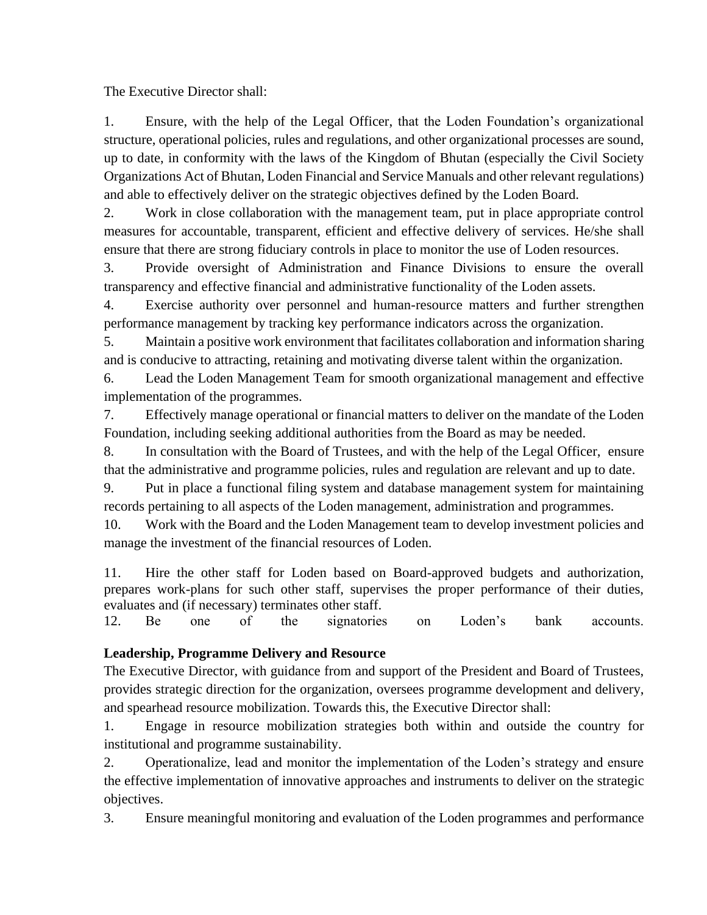The Executive Director shall:

1. Ensure, with the help of the Legal Officer, that the Loden Foundation's organizational structure, operational policies, rules and regulations, and other organizational processes are sound, up to date, in conformity with the laws of the Kingdom of Bhutan (especially the Civil Society Organizations Act of Bhutan, Loden Financial and Service Manuals and other relevant regulations) and able to effectively deliver on the strategic objectives defined by the Loden Board.

2. Work in close collaboration with the management team, put in place appropriate control measures for accountable, transparent, efficient and effective delivery of services. He/she shall ensure that there are strong fiduciary controls in place to monitor the use of Loden resources.

3. Provide oversight of Administration and Finance Divisions to ensure the overall transparency and effective financial and administrative functionality of the Loden assets.

4. Exercise authority over personnel and human-resource matters and further strengthen performance management by tracking key performance indicators across the organization.

5. Maintain a positive work environment that facilitates collaboration and information sharing and is conducive to attracting, retaining and motivating diverse talent within the organization.

6. Lead the Loden Management Team for smooth organizational management and effective implementation of the programmes.

7. Effectively manage operational or financial matters to deliver on the mandate of the Loden Foundation, including seeking additional authorities from the Board as may be needed.

8. In consultation with the Board of Trustees, and with the help of the Legal Officer, ensure that the administrative and programme policies, rules and regulation are relevant and up to date.

9. Put in place a functional filing system and database management system for maintaining records pertaining to all aspects of the Loden management, administration and programmes.

10. Work with the Board and the Loden Management team to develop investment policies and manage the investment of the financial resources of Loden.

11. Hire the other staff for Loden based on Board-approved budgets and authorization, prepares work-plans for such other staff, supervises the proper performance of their duties, evaluates and (if necessary) terminates other staff.

12. Be one of the signatories on Loden's bank accounts.

# **Leadership, Programme Delivery and Resource**

The Executive Director, with guidance from and support of the President and Board of Trustees, provides strategic direction for the organization, oversees programme development and delivery, and spearhead resource mobilization. Towards this, the Executive Director shall:

1. Engage in resource mobilization strategies both within and outside the country for institutional and programme sustainability.

2. Operationalize, lead and monitor the implementation of the Loden's strategy and ensure the effective implementation of innovative approaches and instruments to deliver on the strategic objectives.

3. Ensure meaningful monitoring and evaluation of the Loden programmes and performance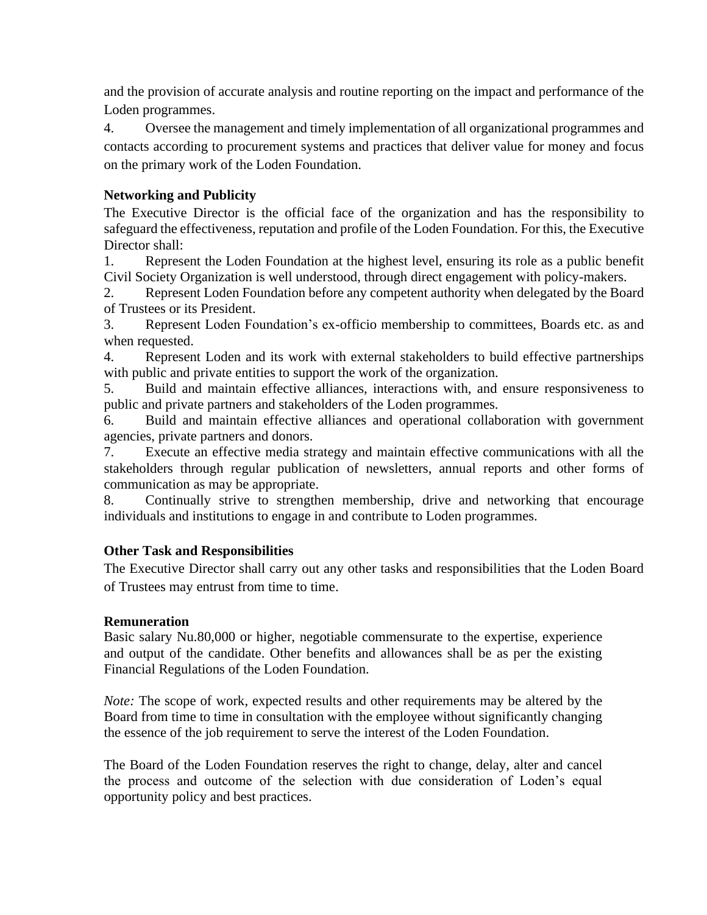and the provision of accurate analysis and routine reporting on the impact and performance of the Loden programmes.

4. Oversee the management and timely implementation of all organizational programmes and contacts according to procurement systems and practices that deliver value for money and focus on the primary work of the Loden Foundation.

## **Networking and Publicity**

The Executive Director is the official face of the organization and has the responsibility to safeguard the effectiveness, reputation and profile of the Loden Foundation. For this, the Executive Director shall:

1. Represent the Loden Foundation at the highest level, ensuring its role as a public benefit Civil Society Organization is well understood, through direct engagement with policy-makers.

2. Represent Loden Foundation before any competent authority when delegated by the Board of Trustees or its President.

3. Represent Loden Foundation's ex-officio membership to committees, Boards etc. as and when requested.

4. Represent Loden and its work with external stakeholders to build effective partnerships with public and private entities to support the work of the organization.

5. Build and maintain effective alliances, interactions with, and ensure responsiveness to public and private partners and stakeholders of the Loden programmes.

6. Build and maintain effective alliances and operational collaboration with government agencies, private partners and donors.

7. Execute an effective media strategy and maintain effective communications with all the stakeholders through regular publication of newsletters, annual reports and other forms of communication as may be appropriate.

8. Continually strive to strengthen membership, drive and networking that encourage individuals and institutions to engage in and contribute to Loden programmes.

## **Other Task and Responsibilities**

The Executive Director shall carry out any other tasks and responsibilities that the Loden Board of Trustees may entrust from time to time.

## **Remuneration**

Basic salary Nu.80,000 or higher, negotiable commensurate to the expertise, experience and output of the candidate. Other benefits and allowances shall be as per the existing Financial Regulations of the Loden Foundation.

*Note:* The scope of work, expected results and other requirements may be altered by the Board from time to time in consultation with the employee without significantly changing the essence of the job requirement to serve the interest of the Loden Foundation.

The Board of the Loden Foundation reserves the right to change, delay, alter and cancel the process and outcome of the selection with due consideration of Loden's equal opportunity policy and best practices.